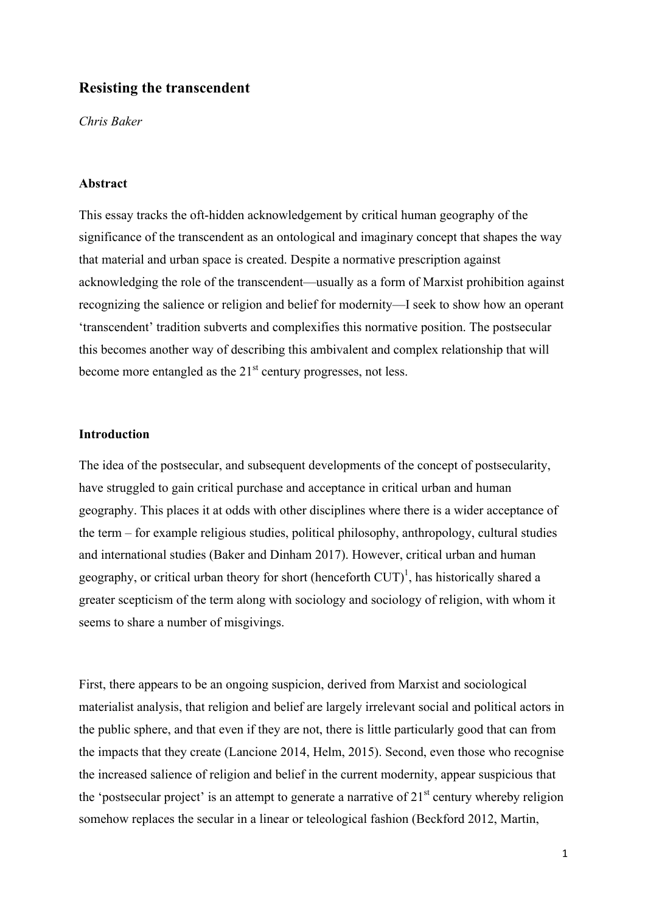# **Resisting the transcendent**

*Chris Baker*

## **Abstract**

This essay tracks the oft-hidden acknowledgement by critical human geography of the significance of the transcendent as an ontological and imaginary concept that shapes the way that material and urban space is created. Despite a normative prescription against acknowledging the role of the transcendent—usually as a form of Marxist prohibition against recognizing the salience or religion and belief for modernity—I seek to show how an operant 'transcendent' tradition subverts and complexifies this normative position. The postsecular this becomes another way of describing this ambivalent and complex relationship that will become more entangled as the  $21<sup>st</sup>$  century progresses, not less.

## **Introduction**

The idea of the postsecular, and subsequent developments of the concept of postsecularity, have struggled to gain critical purchase and acceptance in critical urban and human geography. This places it at odds with other disciplines where there is a wider acceptance of the term – for example religious studies, political philosophy, anthropology, cultural studies and international studies (Baker and Dinham 2017). However, critical urban and human geography, or critical urban theory for short (henceforth  $CUT$ )<sup>1</sup>, has historically shared a greater scepticism of the term along with sociology and sociology of religion, with whom it seems to share a number of misgivings.

First, there appears to be an ongoing suspicion, derived from Marxist and sociological materialist analysis, that religion and belief are largely irrelevant social and political actors in the public sphere, and that even if they are not, there is little particularly good that can from the impacts that they create (Lancione 2014, Helm, 2015). Second, even those who recognise the increased salience of religion and belief in the current modernity, appear suspicious that the 'postsecular project' is an attempt to generate a narrative of  $21<sup>st</sup>$  century whereby religion somehow replaces the secular in a linear or teleological fashion (Beckford 2012, Martin,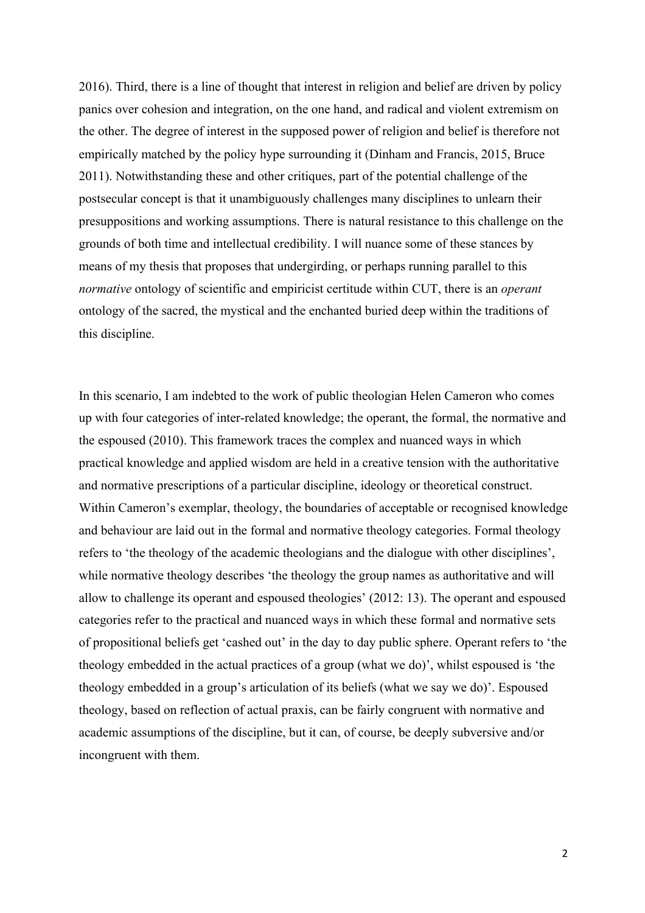2016). Third, there is a line of thought that interest in religion and belief are driven by policy panics over cohesion and integration, on the one hand, and radical and violent extremism on the other. The degree of interest in the supposed power of religion and belief is therefore not empirically matched by the policy hype surrounding it (Dinham and Francis, 2015, Bruce 2011). Notwithstanding these and other critiques, part of the potential challenge of the postsecular concept is that it unambiguously challenges many disciplines to unlearn their presuppositions and working assumptions. There is natural resistance to this challenge on the grounds of both time and intellectual credibility. I will nuance some of these stances by means of my thesis that proposes that undergirding, or perhaps running parallel to this *normative* ontology of scientific and empiricist certitude within CUT, there is an *operant*  ontology of the sacred, the mystical and the enchanted buried deep within the traditions of this discipline.

In this scenario, I am indebted to the work of public theologian Helen Cameron who comes up with four categories of inter-related knowledge; the operant, the formal, the normative and the espoused (2010). This framework traces the complex and nuanced ways in which practical knowledge and applied wisdom are held in a creative tension with the authoritative and normative prescriptions of a particular discipline, ideology or theoretical construct. Within Cameron's exemplar, theology, the boundaries of acceptable or recognised knowledge and behaviour are laid out in the formal and normative theology categories. Formal theology refers to 'the theology of the academic theologians and the dialogue with other disciplines', while normative theology describes 'the theology the group names as authoritative and will allow to challenge its operant and espoused theologies' (2012: 13). The operant and espoused categories refer to the practical and nuanced ways in which these formal and normative sets of propositional beliefs get 'cashed out' in the day to day public sphere. Operant refers to 'the theology embedded in the actual practices of a group (what we do)', whilst espoused is 'the theology embedded in a group's articulation of its beliefs (what we say we do)'. Espoused theology, based on reflection of actual praxis, can be fairly congruent with normative and academic assumptions of the discipline, but it can, of course, be deeply subversive and/or incongruent with them.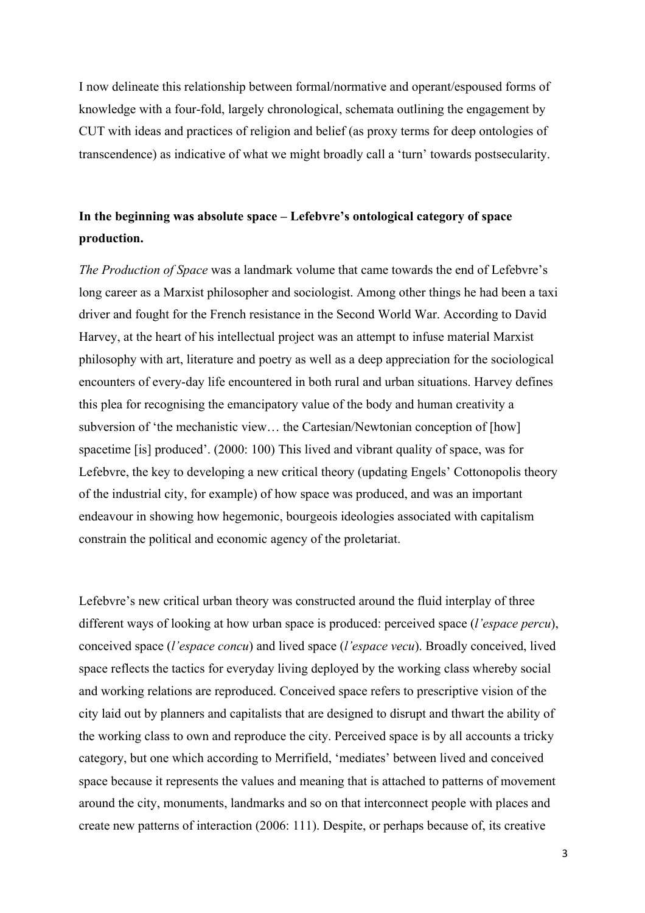I now delineate this relationship between formal/normative and operant/espoused forms of knowledge with a four-fold, largely chronological, schemata outlining the engagement by CUT with ideas and practices of religion and belief (as proxy terms for deep ontologies of transcendence) as indicative of what we might broadly call a 'turn' towards postsecularity.

# **In the beginning was absolute space – Lefebvre's ontological category of space production.**

*The Production of Space* was a landmark volume that came towards the end of Lefebvre's long career as a Marxist philosopher and sociologist. Among other things he had been a taxi driver and fought for the French resistance in the Second World War. According to David Harvey, at the heart of his intellectual project was an attempt to infuse material Marxist philosophy with art, literature and poetry as well as a deep appreciation for the sociological encounters of every-day life encountered in both rural and urban situations. Harvey defines this plea for recognising the emancipatory value of the body and human creativity a subversion of 'the mechanistic view… the Cartesian/Newtonian conception of [how] spacetime [is] produced'. (2000: 100) This lived and vibrant quality of space, was for Lefebvre, the key to developing a new critical theory (updating Engels' Cottonopolis theory of the industrial city, for example) of how space was produced, and was an important endeavour in showing how hegemonic, bourgeois ideologies associated with capitalism constrain the political and economic agency of the proletariat.

Lefebvre's new critical urban theory was constructed around the fluid interplay of three different ways of looking at how urban space is produced: perceived space (*l'espace percu*), conceived space (*l'espace concu*) and lived space (*l'espace vecu*). Broadly conceived, lived space reflects the tactics for everyday living deployed by the working class whereby social and working relations are reproduced. Conceived space refers to prescriptive vision of the city laid out by planners and capitalists that are designed to disrupt and thwart the ability of the working class to own and reproduce the city. Perceived space is by all accounts a tricky category, but one which according to Merrifield, 'mediates' between lived and conceived space because it represents the values and meaning that is attached to patterns of movement around the city, monuments, landmarks and so on that interconnect people with places and create new patterns of interaction (2006: 111). Despite, or perhaps because of, its creative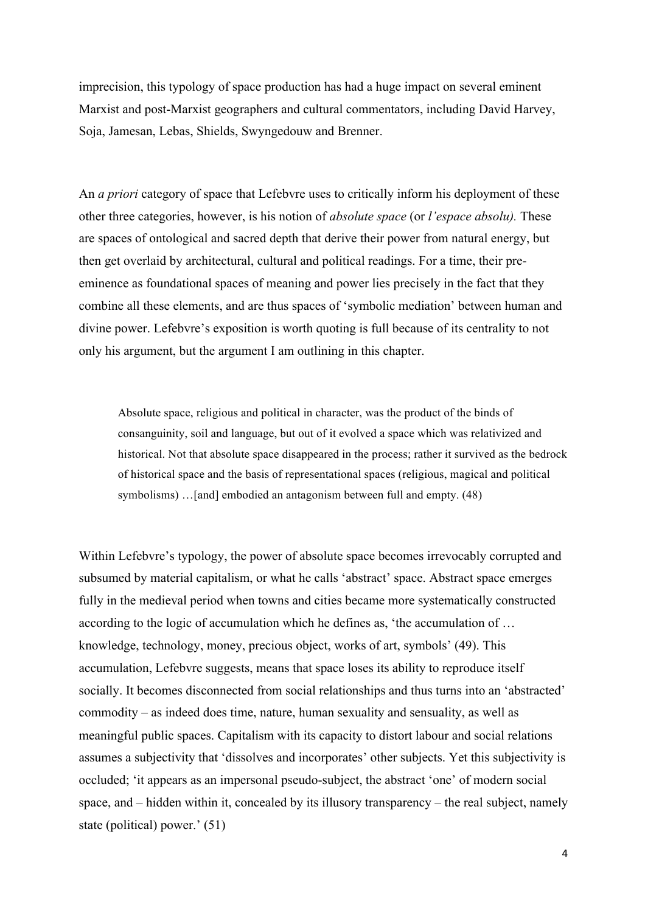imprecision, this typology of space production has had a huge impact on several eminent Marxist and post-Marxist geographers and cultural commentators, including David Harvey, Soja, Jamesan, Lebas, Shields, Swyngedouw and Brenner.

An *a priori* category of space that Lefebvre uses to critically inform his deployment of these other three categories, however, is his notion of *absolute space* (or *l'espace absolu).* These are spaces of ontological and sacred depth that derive their power from natural energy, but then get overlaid by architectural, cultural and political readings. For a time, their preeminence as foundational spaces of meaning and power lies precisely in the fact that they combine all these elements, and are thus spaces of 'symbolic mediation' between human and divine power. Lefebvre's exposition is worth quoting is full because of its centrality to not only his argument, but the argument I am outlining in this chapter.

Absolute space, religious and political in character, was the product of the binds of consanguinity, soil and language, but out of it evolved a space which was relativized and historical. Not that absolute space disappeared in the process; rather it survived as the bedrock of historical space and the basis of representational spaces (religious, magical and political symbolisms) …[and] embodied an antagonism between full and empty. (48)

Within Lefebvre's typology, the power of absolute space becomes irrevocably corrupted and subsumed by material capitalism, or what he calls 'abstract' space. Abstract space emerges fully in the medieval period when towns and cities became more systematically constructed according to the logic of accumulation which he defines as, 'the accumulation of … knowledge, technology, money, precious object, works of art, symbols' (49). This accumulation, Lefebvre suggests, means that space loses its ability to reproduce itself socially. It becomes disconnected from social relationships and thus turns into an 'abstracted' commodity – as indeed does time, nature, human sexuality and sensuality, as well as meaningful public spaces. Capitalism with its capacity to distort labour and social relations assumes a subjectivity that 'dissolves and incorporates' other subjects. Yet this subjectivity is occluded; 'it appears as an impersonal pseudo-subject, the abstract 'one' of modern social space, and – hidden within it, concealed by its illusory transparency – the real subject, namely state (political) power.' (51)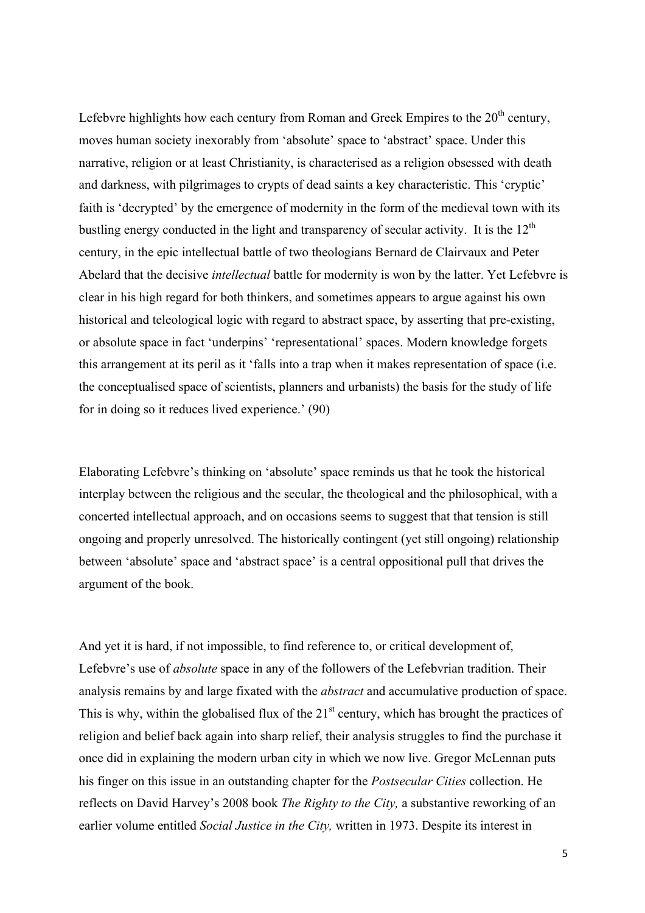Lefebvre highlights how each century from Roman and Greek Empires to the  $20<sup>th</sup>$  century, moves human society inexorably from 'absolute' space to 'abstract' space. Under this narrative, religion or at least Christianity, is characterised as a religion obsessed with death and darkness, with pilgrimages to crypts of dead saints a key characteristic. This 'cryptic' faith is 'decrypted' by the emergence of modernity in the form of the medieval town with its bustling energy conducted in the light and transparency of secular activity. It is the  $12<sup>th</sup>$ century, in the epic intellectual battle of two theologians Bernard de Clairvaux and Peter Abelard that the decisive *intellectual* battle for modernity is won by the latter. Yet Lefebvre is clear in his high regard for both thinkers, and sometimes appears to argue against his own historical and teleological logic with regard to abstract space, by asserting that pre-existing, or absolute space in fact 'underpins' 'representational' spaces. Modern knowledge forgets this arrangement at its peril as it 'falls into a trap when it makes representation of space (i.e. the conceptualised space of scientists, planners and urbanists) the basis for the study of life for in doing so it reduces lived experience.' (90)

Elaborating Lefebvre's thinking on 'absolute' space reminds us that he took the historical interplay between the religious and the secular, the theological and the philosophical, with a concerted intellectual approach, and on occasions seems to suggest that that tension is still ongoing and properly unresolved. The historically contingent (yet still ongoing) relationship between 'absolute' space and 'abstract space' is a central oppositional pull that drives the argument of the book.

And yet it is hard, if not impossible, to find reference to, or critical development of, Lefebvre's use of *absolute* space in any of the followers of the Lefebvrian tradition. Their analysis remains by and large fixated with the *abstract* and accumulative production of space. This is why, within the globalised flux of the  $21<sup>st</sup>$  century, which has brought the practices of religion and belief back again into sharp relief, their analysis struggles to find the purchase it once did in explaining the modern urban city in which we now live. Gregor McLennan puts his finger on this issue in an outstanding chapter for the *Postsecular Cities* collection. He reflects on David Harvey's 2008 book *The Righty to the City,* a substantive reworking of an earlier volume entitled *Social Justice in the City,* written in 1973. Despite its interest in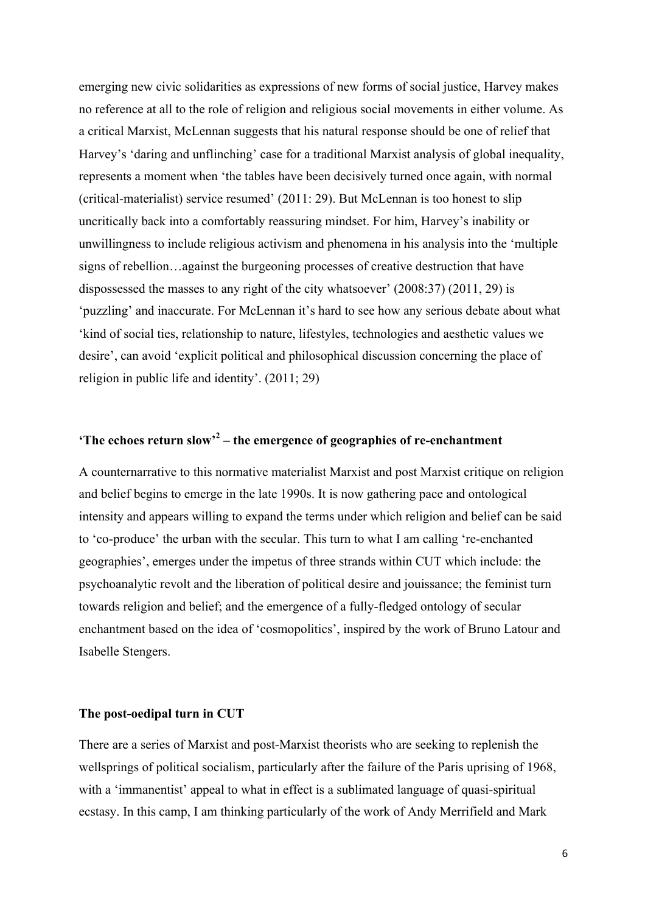emerging new civic solidarities as expressions of new forms of social justice, Harvey makes no reference at all to the role of religion and religious social movements in either volume. As a critical Marxist, McLennan suggests that his natural response should be one of relief that Harvey's 'daring and unflinching' case for a traditional Marxist analysis of global inequality, represents a moment when 'the tables have been decisively turned once again, with normal (critical-materialist) service resumed' (2011: 29). But McLennan is too honest to slip uncritically back into a comfortably reassuring mindset. For him, Harvey's inability or unwillingness to include religious activism and phenomena in his analysis into the 'multiple signs of rebellion…against the burgeoning processes of creative destruction that have dispossessed the masses to any right of the city whatsoever' (2008:37) (2011, 29) is 'puzzling' and inaccurate. For McLennan it's hard to see how any serious debate about what 'kind of social ties, relationship to nature, lifestyles, technologies and aesthetic values we desire', can avoid 'explicit political and philosophical discussion concerning the place of religion in public life and identity'. (2011; 29)

# **'The echoes return slow' <sup>2</sup> – the emergence of geographies of re-enchantment**

A counternarrative to this normative materialist Marxist and post Marxist critique on religion and belief begins to emerge in the late 1990s. It is now gathering pace and ontological intensity and appears willing to expand the terms under which religion and belief can be said to 'co-produce' the urban with the secular. This turn to what I am calling 're-enchanted geographies', emerges under the impetus of three strands within CUT which include: the psychoanalytic revolt and the liberation of political desire and jouissance; the feminist turn towards religion and belief; and the emergence of a fully-fledged ontology of secular enchantment based on the idea of 'cosmopolitics', inspired by the work of Bruno Latour and Isabelle Stengers.

#### **The post-oedipal turn in CUT**

There are a series of Marxist and post-Marxist theorists who are seeking to replenish the wellsprings of political socialism, particularly after the failure of the Paris uprising of 1968, with a 'immanentist' appeal to what in effect is a sublimated language of quasi-spiritual ecstasy. In this camp, I am thinking particularly of the work of Andy Merrifield and Mark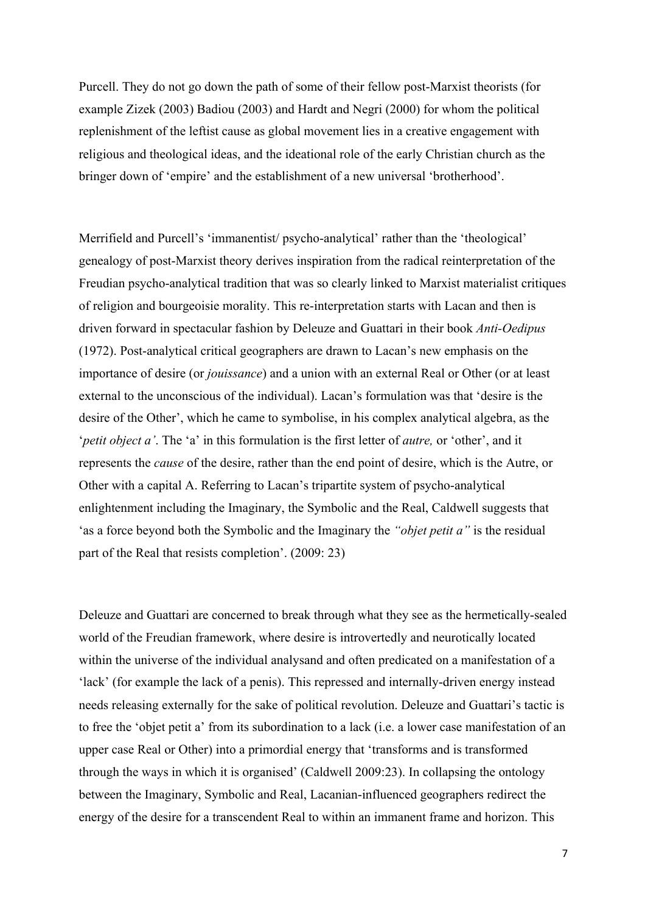Purcell. They do not go down the path of some of their fellow post-Marxist theorists (for example Zizek (2003) Badiou (2003) and Hardt and Negri (2000) for whom the political replenishment of the leftist cause as global movement lies in a creative engagement with religious and theological ideas, and the ideational role of the early Christian church as the bringer down of 'empire' and the establishment of a new universal 'brotherhood'.

Merrifield and Purcell's 'immanentist/ psycho-analytical' rather than the 'theological' genealogy of post-Marxist theory derives inspiration from the radical reinterpretation of the Freudian psycho-analytical tradition that was so clearly linked to Marxist materialist critiques of religion and bourgeoisie morality. This re-interpretation starts with Lacan and then is driven forward in spectacular fashion by Deleuze and Guattari in their book *Anti-Oedipus* (1972). Post-analytical critical geographers are drawn to Lacan's new emphasis on the importance of desire (or *jouissance*) and a union with an external Real or Other (or at least external to the unconscious of the individual). Lacan's formulation was that 'desire is the desire of the Other', which he came to symbolise, in his complex analytical algebra, as the '*petit object a'*. The 'a' in this formulation is the first letter of *autre,* or 'other', and it represents the *cause* of the desire, rather than the end point of desire, which is the Autre, or Other with a capital A. Referring to Lacan's tripartite system of psycho-analytical enlightenment including the Imaginary, the Symbolic and the Real, Caldwell suggests that 'as a force beyond both the Symbolic and the Imaginary the *"objet petit a"* is the residual part of the Real that resists completion'. (2009: 23)

Deleuze and Guattari are concerned to break through what they see as the hermetically-sealed world of the Freudian framework, where desire is introvertedly and neurotically located within the universe of the individual analysand and often predicated on a manifestation of a 'lack' (for example the lack of a penis). This repressed and internally-driven energy instead needs releasing externally for the sake of political revolution. Deleuze and Guattari's tactic is to free the 'objet petit a' from its subordination to a lack (i.e. a lower case manifestation of an upper case Real or Other) into a primordial energy that 'transforms and is transformed through the ways in which it is organised' (Caldwell 2009:23). In collapsing the ontology between the Imaginary, Symbolic and Real, Lacanian-influenced geographers redirect the energy of the desire for a transcendent Real to within an immanent frame and horizon. This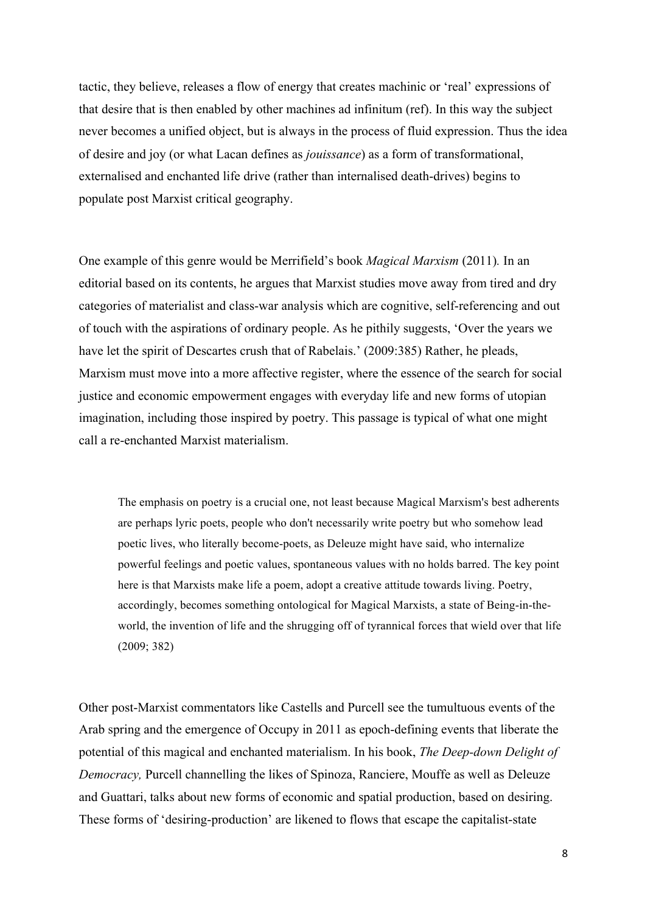tactic, they believe, releases a flow of energy that creates machinic or 'real' expressions of that desire that is then enabled by other machines ad infinitum (ref). In this way the subject never becomes a unified object, but is always in the process of fluid expression. Thus the idea of desire and joy (or what Lacan defines as *jouissance*) as a form of transformational, externalised and enchanted life drive (rather than internalised death-drives) begins to populate post Marxist critical geography.

One example of this genre would be Merrifield's book *Magical Marxism* (2011)*.* In an editorial based on its contents, he argues that Marxist studies move away from tired and dry categories of materialist and class-war analysis which are cognitive, self-referencing and out of touch with the aspirations of ordinary people. As he pithily suggests, 'Over the years we have let the spirit of Descartes crush that of Rabelais.' (2009:385) Rather, he pleads, Marxism must move into a more affective register, where the essence of the search for social justice and economic empowerment engages with everyday life and new forms of utopian imagination, including those inspired by poetry. This passage is typical of what one might call a re-enchanted Marxist materialism.

The emphasis on poetry is a crucial one, not least because Magical Marxism's best adherents are perhaps lyric poets, people who don't necessarily write poetry but who somehow lead poetic lives, who literally become-poets, as Deleuze might have said, who internalize powerful feelings and poetic values, spontaneous values with no holds barred. The key point here is that Marxists make life a poem, adopt a creative attitude towards living. Poetry, accordingly, becomes something ontological for Magical Marxists, a state of Being-in-theworld, the invention of life and the shrugging off of tyrannical forces that wield over that life (2009; 382)

Other post-Marxist commentators like Castells and Purcell see the tumultuous events of the Arab spring and the emergence of Occupy in 2011 as epoch-defining events that liberate the potential of this magical and enchanted materialism. In his book, *The Deep-down Delight of Democracy,* Purcell channelling the likes of Spinoza, Ranciere, Mouffe as well as Deleuze and Guattari, talks about new forms of economic and spatial production, based on desiring. These forms of 'desiring-production' are likened to flows that escape the capitalist-state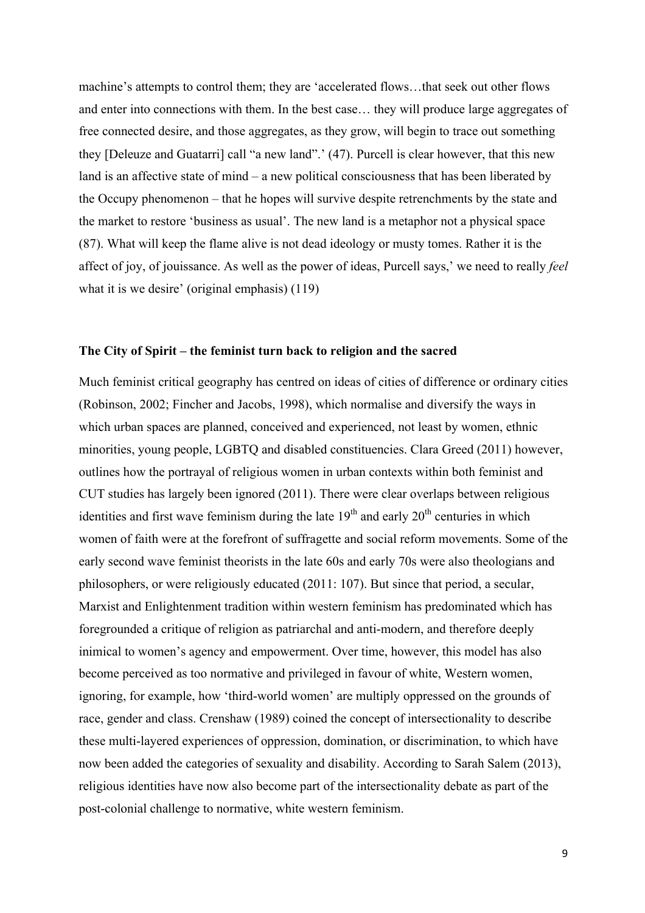machine's attempts to control them; they are 'accelerated flows…that seek out other flows and enter into connections with them. In the best case… they will produce large aggregates of free connected desire, and those aggregates, as they grow, will begin to trace out something they [Deleuze and Guatarri] call "a new land".' (47). Purcell is clear however, that this new land is an affective state of mind – a new political consciousness that has been liberated by the Occupy phenomenon – that he hopes will survive despite retrenchments by the state and the market to restore 'business as usual'. The new land is a metaphor not a physical space (87). What will keep the flame alive is not dead ideology or musty tomes. Rather it is the affect of joy, of jouissance. As well as the power of ideas, Purcell says,' we need to really *feel*  what it is we desire' (original emphasis) (119)

### **The City of Spirit – the feminist turn back to religion and the sacred**

Much feminist critical geography has centred on ideas of cities of difference or ordinary cities (Robinson, 2002; Fincher and Jacobs, 1998), which normalise and diversify the ways in which urban spaces are planned, conceived and experienced, not least by women, ethnic minorities, young people, LGBTQ and disabled constituencies. Clara Greed (2011) however, outlines how the portrayal of religious women in urban contexts within both feminist and CUT studies has largely been ignored (2011). There were clear overlaps between religious identities and first wave feminism during the late  $19<sup>th</sup>$  and early  $20<sup>th</sup>$  centuries in which women of faith were at the forefront of suffragette and social reform movements. Some of the early second wave feminist theorists in the late 60s and early 70s were also theologians and philosophers, or were religiously educated (2011: 107). But since that period, a secular, Marxist and Enlightenment tradition within western feminism has predominated which has foregrounded a critique of religion as patriarchal and anti-modern, and therefore deeply inimical to women's agency and empowerment. Over time, however, this model has also become perceived as too normative and privileged in favour of white, Western women, ignoring, for example, how 'third-world women' are multiply oppressed on the grounds of race, gender and class. Crenshaw (1989) coined the concept of intersectionality to describe these multi-layered experiences of oppression, domination, or discrimination, to which have now been added the categories of sexuality and disability. According to Sarah Salem (2013), religious identities have now also become part of the intersectionality debate as part of the post-colonial challenge to normative, white western feminism.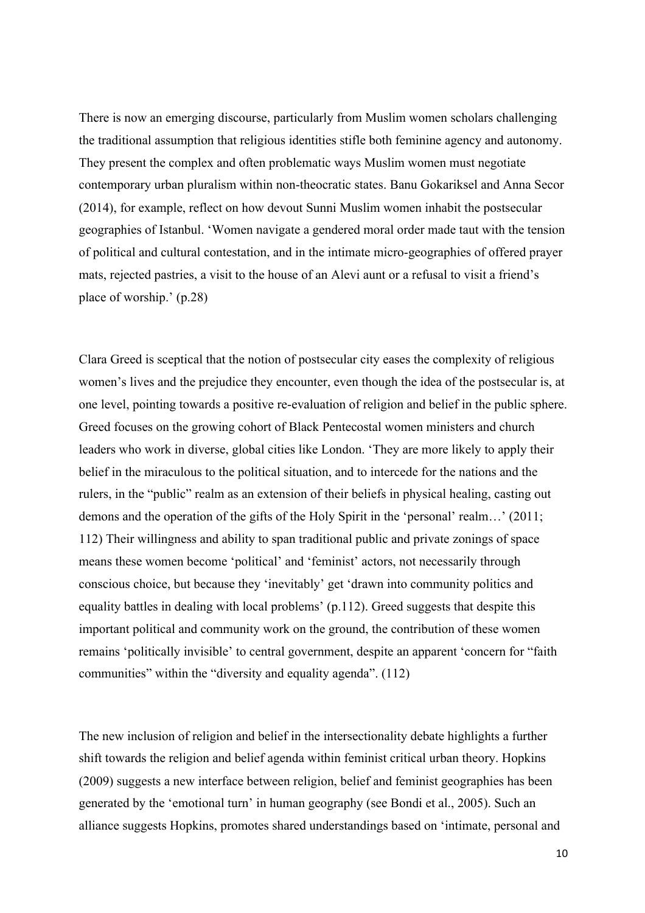There is now an emerging discourse, particularly from Muslim women scholars challenging the traditional assumption that religious identities stifle both feminine agency and autonomy. They present the complex and often problematic ways Muslim women must negotiate contemporary urban pluralism within non-theocratic states. Banu Gokariksel and Anna Secor (2014), for example, reflect on how devout Sunni Muslim women inhabit the postsecular geographies of Istanbul. 'Women navigate a gendered moral order made taut with the tension of political and cultural contestation, and in the intimate micro-geographies of offered prayer mats, rejected pastries, a visit to the house of an Alevi aunt or a refusal to visit a friend's place of worship.' (p.28)

Clara Greed is sceptical that the notion of postsecular city eases the complexity of religious women's lives and the prejudice they encounter, even though the idea of the postsecular is, at one level, pointing towards a positive re-evaluation of religion and belief in the public sphere. Greed focuses on the growing cohort of Black Pentecostal women ministers and church leaders who work in diverse, global cities like London. 'They are more likely to apply their belief in the miraculous to the political situation, and to intercede for the nations and the rulers, in the "public" realm as an extension of their beliefs in physical healing, casting out demons and the operation of the gifts of the Holy Spirit in the 'personal' realm…' (2011; 112) Their willingness and ability to span traditional public and private zonings of space means these women become 'political' and 'feminist' actors, not necessarily through conscious choice, but because they 'inevitably' get 'drawn into community politics and equality battles in dealing with local problems' (p.112). Greed suggests that despite this important political and community work on the ground, the contribution of these women remains 'politically invisible' to central government, despite an apparent 'concern for "faith communities" within the "diversity and equality agenda". (112)

The new inclusion of religion and belief in the intersectionality debate highlights a further shift towards the religion and belief agenda within feminist critical urban theory. Hopkins (2009) suggests a new interface between religion, belief and feminist geographies has been generated by the 'emotional turn' in human geography (see Bondi et al., 2005). Such an alliance suggests Hopkins, promotes shared understandings based on 'intimate, personal and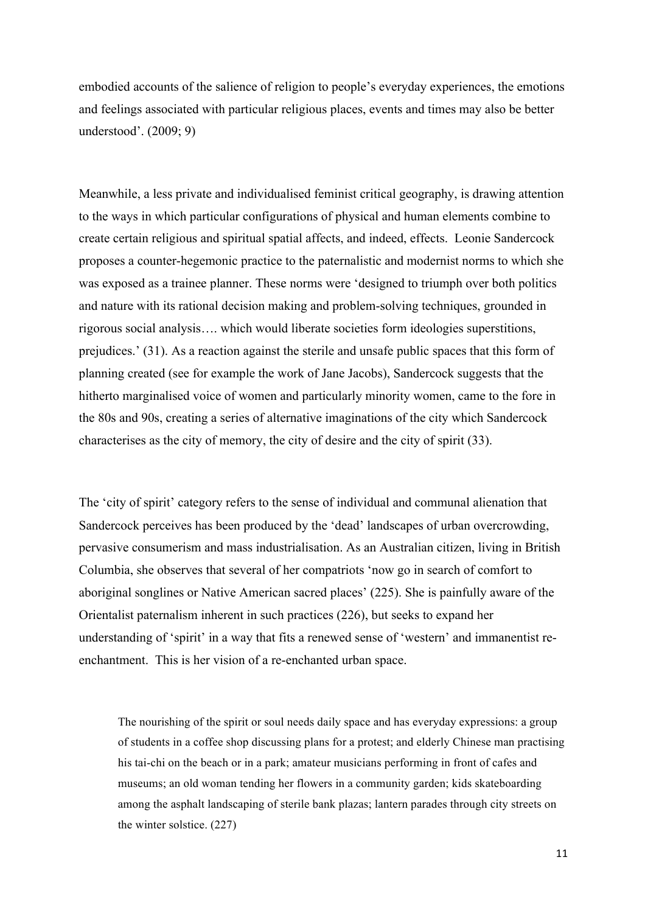embodied accounts of the salience of religion to people's everyday experiences, the emotions and feelings associated with particular religious places, events and times may also be better understood'. (2009; 9)

Meanwhile, a less private and individualised feminist critical geography, is drawing attention to the ways in which particular configurations of physical and human elements combine to create certain religious and spiritual spatial affects, and indeed, effects. Leonie Sandercock proposes a counter-hegemonic practice to the paternalistic and modernist norms to which she was exposed as a trainee planner. These norms were 'designed to triumph over both politics and nature with its rational decision making and problem-solving techniques, grounded in rigorous social analysis…. which would liberate societies form ideologies superstitions, prejudices.' (31). As a reaction against the sterile and unsafe public spaces that this form of planning created (see for example the work of Jane Jacobs), Sandercock suggests that the hitherto marginalised voice of women and particularly minority women, came to the fore in the 80s and 90s, creating a series of alternative imaginations of the city which Sandercock characterises as the city of memory, the city of desire and the city of spirit (33).

The 'city of spirit' category refers to the sense of individual and communal alienation that Sandercock perceives has been produced by the 'dead' landscapes of urban overcrowding, pervasive consumerism and mass industrialisation. As an Australian citizen, living in British Columbia, she observes that several of her compatriots 'now go in search of comfort to aboriginal songlines or Native American sacred places' (225). She is painfully aware of the Orientalist paternalism inherent in such practices (226), but seeks to expand her understanding of 'spirit' in a way that fits a renewed sense of 'western' and immanentist reenchantment. This is her vision of a re-enchanted urban space.

The nourishing of the spirit or soul needs daily space and has everyday expressions: a group of students in a coffee shop discussing plans for a protest; and elderly Chinese man practising his tai-chi on the beach or in a park; amateur musicians performing in front of cafes and museums; an old woman tending her flowers in a community garden; kids skateboarding among the asphalt landscaping of sterile bank plazas; lantern parades through city streets on the winter solstice. (227)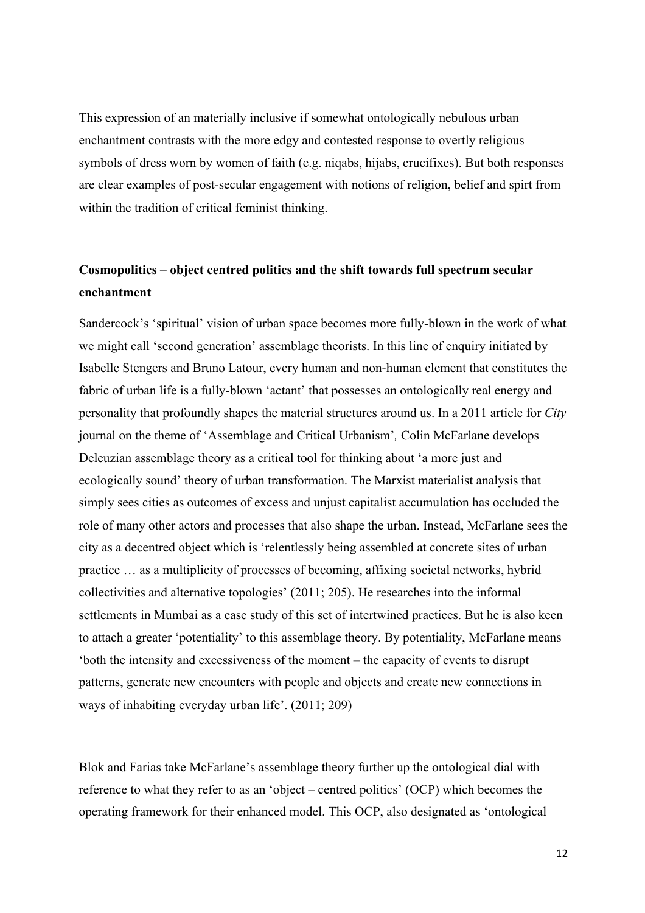This expression of an materially inclusive if somewhat ontologically nebulous urban enchantment contrasts with the more edgy and contested response to overtly religious symbols of dress worn by women of faith (e.g. niqabs, hijabs, crucifixes). But both responses are clear examples of post-secular engagement with notions of religion, belief and spirt from within the tradition of critical feminist thinking.

# **Cosmopolitics – object centred politics and the shift towards full spectrum secular enchantment**

Sandercock's 'spiritual' vision of urban space becomes more fully-blown in the work of what we might call 'second generation' assemblage theorists. In this line of enquiry initiated by Isabelle Stengers and Bruno Latour, every human and non-human element that constitutes the fabric of urban life is a fully-blown 'actant' that possesses an ontologically real energy and personality that profoundly shapes the material structures around us. In a 2011 article for *City*  journal on the theme of 'Assemblage and Critical Urbanism'*,* Colin McFarlane develops Deleuzian assemblage theory as a critical tool for thinking about 'a more just and ecologically sound' theory of urban transformation. The Marxist materialist analysis that simply sees cities as outcomes of excess and unjust capitalist accumulation has occluded the role of many other actors and processes that also shape the urban. Instead, McFarlane sees the city as a decentred object which is 'relentlessly being assembled at concrete sites of urban practice … as a multiplicity of processes of becoming, affixing societal networks, hybrid collectivities and alternative topologies' (2011; 205). He researches into the informal settlements in Mumbai as a case study of this set of intertwined practices. But he is also keen to attach a greater 'potentiality' to this assemblage theory. By potentiality, McFarlane means 'both the intensity and excessiveness of the moment – the capacity of events to disrupt patterns, generate new encounters with people and objects and create new connections in ways of inhabiting everyday urban life'. (2011; 209)

Blok and Farias take McFarlane's assemblage theory further up the ontological dial with reference to what they refer to as an 'object – centred politics' (OCP) which becomes the operating framework for their enhanced model. This OCP, also designated as 'ontological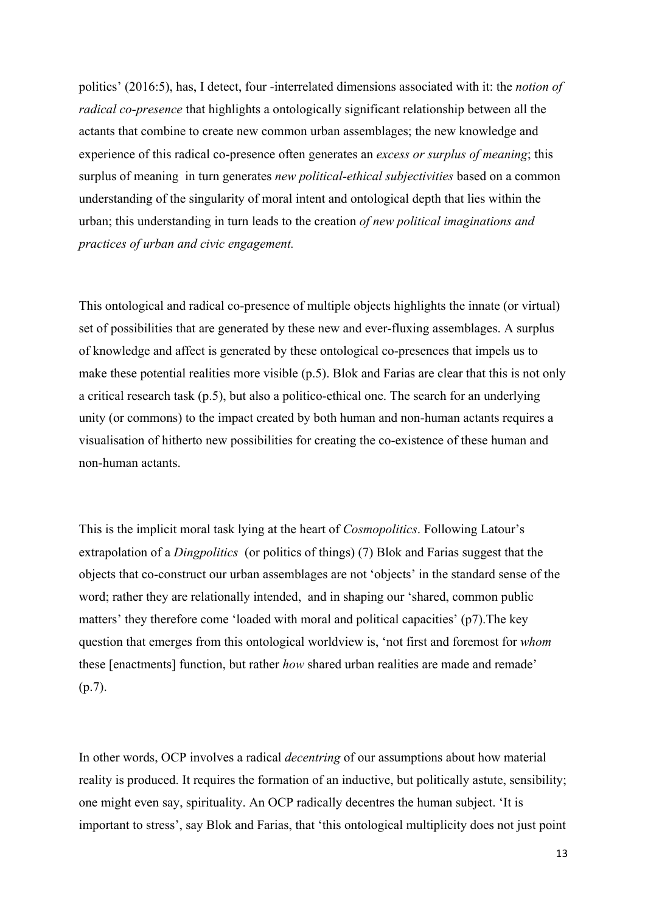politics' (2016:5), has, I detect, four -interrelated dimensions associated with it: the *notion of radical co-presence* that highlights a ontologically significant relationship between all the actants that combine to create new common urban assemblages; the new knowledge and experience of this radical co-presence often generates an *excess or surplus of meaning*; this surplus of meaning in turn generates *new political-ethical subjectivities* based on a common understanding of the singularity of moral intent and ontological depth that lies within the urban; this understanding in turn leads to the creation *of new political imaginations and practices of urban and civic engagement.*

This ontological and radical co-presence of multiple objects highlights the innate (or virtual) set of possibilities that are generated by these new and ever-fluxing assemblages. A surplus of knowledge and affect is generated by these ontological co-presences that impels us to make these potential realities more visible (p.5). Blok and Farias are clear that this is not only a critical research task (p.5), but also a politico-ethical one. The search for an underlying unity (or commons) to the impact created by both human and non-human actants requires a visualisation of hitherto new possibilities for creating the co-existence of these human and non-human actants.

This is the implicit moral task lying at the heart of *Cosmopolitics*. Following Latour's extrapolation of a *Dingpolitics* (or politics of things) (7) Blok and Farias suggest that the objects that co-construct our urban assemblages are not 'objects' in the standard sense of the word; rather they are relationally intended, and in shaping our 'shared, common public matters' they therefore come 'loaded with moral and political capacities' (p7).The key question that emerges from this ontological worldview is, 'not first and foremost for *whom* these [enactments] function, but rather *how* shared urban realities are made and remade' (p.7).

In other words, OCP involves a radical *decentring* of our assumptions about how material reality is produced. It requires the formation of an inductive, but politically astute, sensibility; one might even say, spirituality. An OCP radically decentres the human subject. 'It is important to stress', say Blok and Farias, that 'this ontological multiplicity does not just point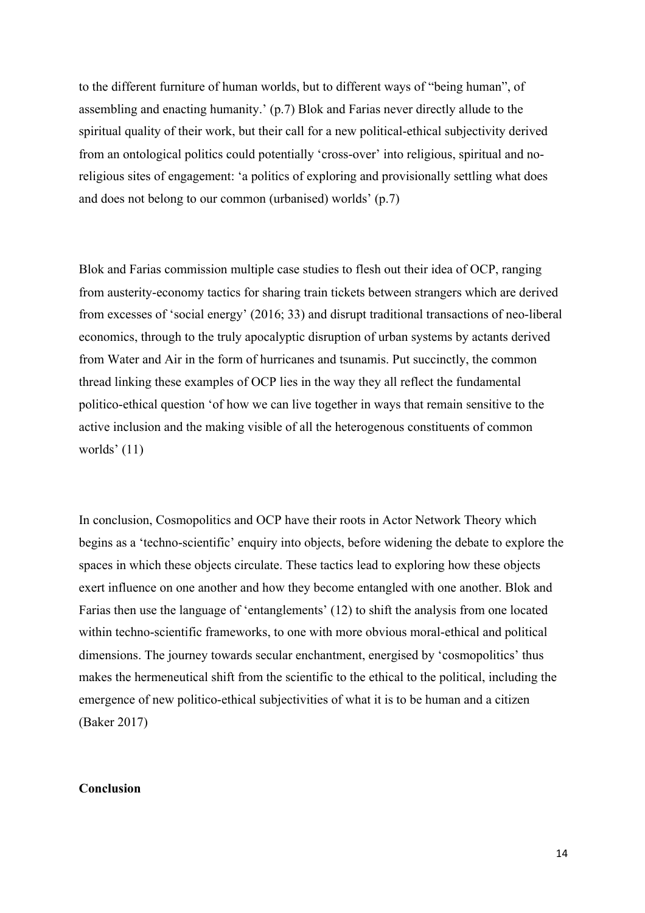to the different furniture of human worlds, but to different ways of "being human", of assembling and enacting humanity.' (p.7) Blok and Farias never directly allude to the spiritual quality of their work, but their call for a new political-ethical subjectivity derived from an ontological politics could potentially 'cross-over' into religious, spiritual and noreligious sites of engagement: 'a politics of exploring and provisionally settling what does and does not belong to our common (urbanised) worlds' (p.7)

Blok and Farias commission multiple case studies to flesh out their idea of OCP, ranging from austerity-economy tactics for sharing train tickets between strangers which are derived from excesses of 'social energy' (2016; 33) and disrupt traditional transactions of neo-liberal economics, through to the truly apocalyptic disruption of urban systems by actants derived from Water and Air in the form of hurricanes and tsunamis. Put succinctly, the common thread linking these examples of OCP lies in the way they all reflect the fundamental politico-ethical question 'of how we can live together in ways that remain sensitive to the active inclusion and the making visible of all the heterogenous constituents of common worlds' (11)

In conclusion, Cosmopolitics and OCP have their roots in Actor Network Theory which begins as a 'techno-scientific' enquiry into objects, before widening the debate to explore the spaces in which these objects circulate. These tactics lead to exploring how these objects exert influence on one another and how they become entangled with one another. Blok and Farias then use the language of 'entanglements' (12) to shift the analysis from one located within techno-scientific frameworks, to one with more obvious moral-ethical and political dimensions. The journey towards secular enchantment, energised by 'cosmopolitics' thus makes the hermeneutical shift from the scientific to the ethical to the political, including the emergence of new politico-ethical subjectivities of what it is to be human and a citizen (Baker 2017)

#### **Conclusion**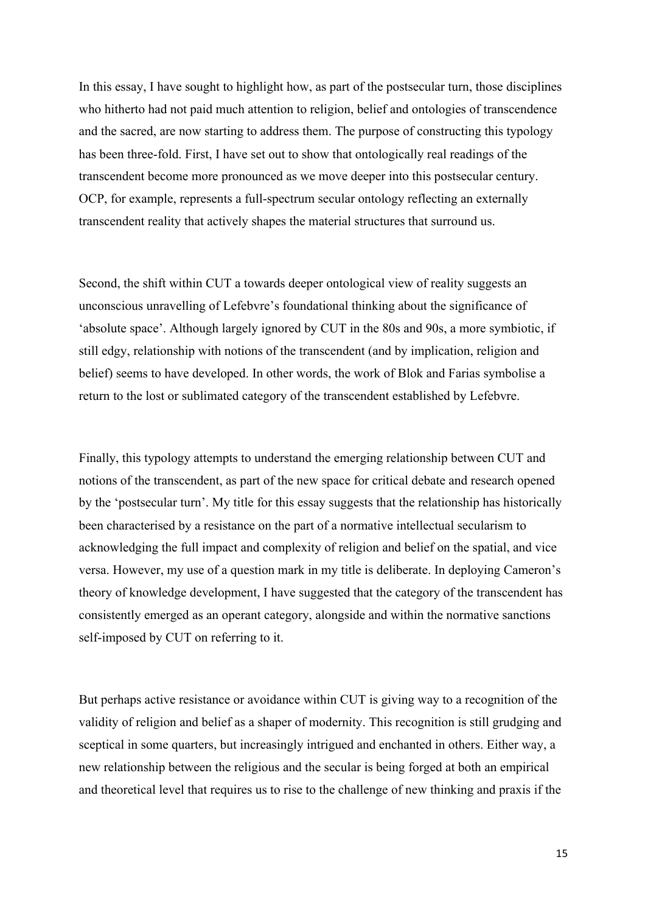In this essay, I have sought to highlight how, as part of the postsecular turn, those disciplines who hitherto had not paid much attention to religion, belief and ontologies of transcendence and the sacred, are now starting to address them. The purpose of constructing this typology has been three-fold. First, I have set out to show that ontologically real readings of the transcendent become more pronounced as we move deeper into this postsecular century. OCP, for example, represents a full-spectrum secular ontology reflecting an externally transcendent reality that actively shapes the material structures that surround us.

Second, the shift within CUT a towards deeper ontological view of reality suggests an unconscious unravelling of Lefebvre's foundational thinking about the significance of 'absolute space'. Although largely ignored by CUT in the 80s and 90s, a more symbiotic, if still edgy, relationship with notions of the transcendent (and by implication, religion and belief) seems to have developed. In other words, the work of Blok and Farias symbolise a return to the lost or sublimated category of the transcendent established by Lefebvre.

Finally, this typology attempts to understand the emerging relationship between CUT and notions of the transcendent, as part of the new space for critical debate and research opened by the 'postsecular turn'. My title for this essay suggests that the relationship has historically been characterised by a resistance on the part of a normative intellectual secularism to acknowledging the full impact and complexity of religion and belief on the spatial, and vice versa. However, my use of a question mark in my title is deliberate. In deploying Cameron's theory of knowledge development, I have suggested that the category of the transcendent has consistently emerged as an operant category, alongside and within the normative sanctions self-imposed by CUT on referring to it.

But perhaps active resistance or avoidance within CUT is giving way to a recognition of the validity of religion and belief as a shaper of modernity. This recognition is still grudging and sceptical in some quarters, but increasingly intrigued and enchanted in others. Either way, a new relationship between the religious and the secular is being forged at both an empirical and theoretical level that requires us to rise to the challenge of new thinking and praxis if the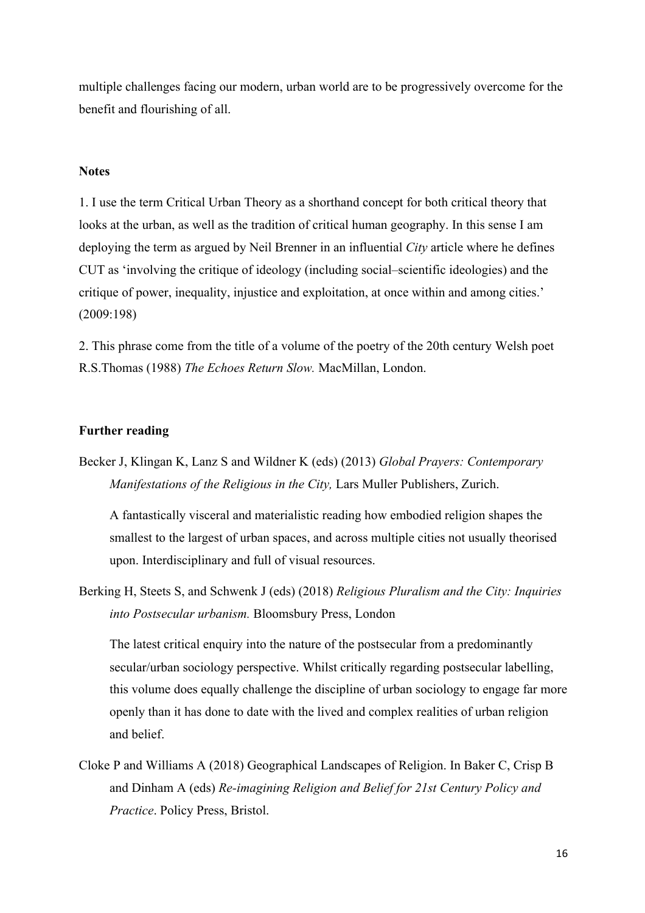multiple challenges facing our modern, urban world are to be progressively overcome for the benefit and flourishing of all.

#### **Notes**

1. I use the term Critical Urban Theory as a shorthand concept for both critical theory that looks at the urban, as well as the tradition of critical human geography. In this sense I am deploying the term as argued by Neil Brenner in an influential *City* article where he defines CUT as 'involving the critique of ideology (including social–scientific ideologies) and the critique of power, inequality, injustice and exploitation, at once within and among cities.' (2009:198)

2. This phrase come from the title of a volume of the poetry of the 20th century Welsh poet R.S.Thomas (1988) *The Echoes Return Slow.* MacMillan, London.

### **Further reading**

Becker J, Klingan K, Lanz S and Wildner K (eds) (2013) *Global Prayers: Contemporary Manifestations of the Religious in the City,* Lars Muller Publishers, Zurich.

A fantastically visceral and materialistic reading how embodied religion shapes the smallest to the largest of urban spaces, and across multiple cities not usually theorised upon. Interdisciplinary and full of visual resources.

Berking H, Steets S, and Schwenk J (eds) (2018) *Religious Pluralism and the City: Inquiries into Postsecular urbanism.* Bloomsbury Press, London

The latest critical enquiry into the nature of the postsecular from a predominantly secular/urban sociology perspective. Whilst critically regarding postsecular labelling, this volume does equally challenge the discipline of urban sociology to engage far more openly than it has done to date with the lived and complex realities of urban religion and belief.

Cloke P and Williams A (2018) Geographical Landscapes of Religion. In Baker C, Crisp B and Dinham A (eds) *Re-imagining Religion and Belief for 21st Century Policy and Practice*. Policy Press, Bristol.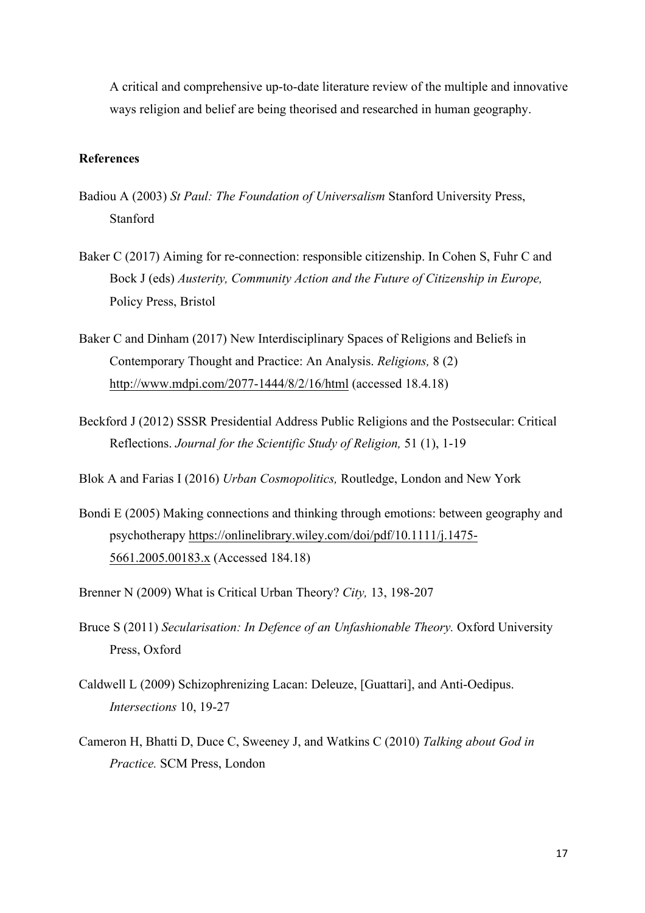A critical and comprehensive up-to-date literature review of the multiple and innovative ways religion and belief are being theorised and researched in human geography.

#### **References**

- Badiou A (2003) *St Paul: The Foundation of Universalism* Stanford University Press, **Stanford**
- Baker C (2017) Aiming for re-connection: responsible citizenship. In Cohen S, Fuhr C and Bock J (eds) *Austerity, Community Action and the Future of Citizenship in Europe,*  Policy Press, Bristol
- Baker C and Dinham (2017) New Interdisciplinary Spaces of Religions and Beliefs in Contemporary Thought and Practice: An Analysis. *Religions,* 8 (2) <http://www.mdpi.com/2077-1444/8/2/16/html> (accessed 18.4.18)
- Beckford J (2012) SSSR Presidential Address Public Religions and the Postsecular: Critical Reflections. *Journal for the Scientific Study of Religion,* 51 (1), 1-19

Blok A and Farias I (2016) *Urban Cosmopolitics,* Routledge, London and New York

- Bondi E (2005) Making connections and thinking through emotions: between geography and psychotherapy [https://onlinelibrary.wiley.com/doi/pdf/10.1111/j.1475](https://onlinelibrary.wiley.com/doi/pdf/10.1111/j.1475-5661.2005.00183.x)- [5661.2005.00183.x](https://onlinelibrary.wiley.com/doi/pdf/10.1111/j.1475-5661.2005.00183.x) (Accessed 184.18)
- Brenner N (2009) What is Critical Urban Theory? *City,* 13, 198-207
- Bruce S (2011) *Secularisation: In Defence of an Unfashionable Theory*. Oxford University Press, Oxford
- Caldwell L (2009) Schizophrenizing Lacan: Deleuze, [Guattari], and Anti-Oedipus. *Intersections* 10, 19-27
- Cameron H, Bhatti D, Duce C, Sweeney J, and Watkins C (2010) *Talking about God in Practice.* SCM Press, London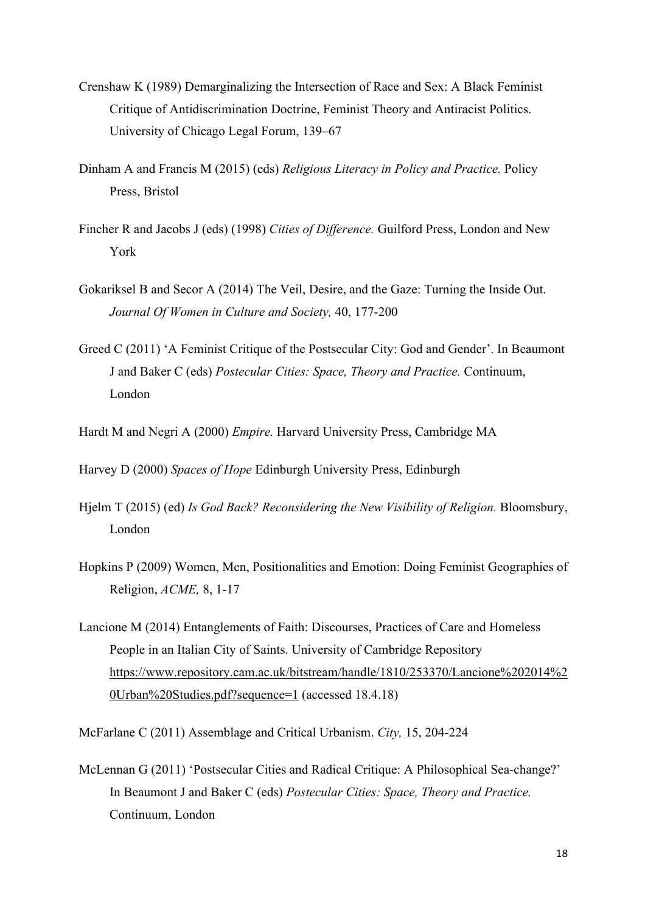- Crenshaw K (1989) Demarginalizing the Intersection of Race and Sex: A Black Feminist Critique of Antidiscrimination Doctrine, Feminist Theory and Antiracist Politics. University of Chicago Legal Forum, 139–67
- Dinham A and Francis M (2015) (eds) *Religious Literacy in Policy and Practice.* Policy Press, Bristol
- Fincher R and Jacobs J (eds) (1998) *Cities of Difference.* Guilford Press, London and New York
- Gokariksel B and Secor A (2014) The Veil, Desire, and the Gaze: Turning the Inside Out. *Journal Of Women in Culture and Society,* 40, 177-200
- Greed C (2011) 'A Feminist Critique of the Postsecular City: God and Gender'. In Beaumont J and Baker C (eds) *Postecular Cities: Space, Theory and Practice.* Continuum, London

Hardt M and Negri A (2000) *Empire.* Harvard University Press, Cambridge MA

Harvey D (2000) *Spaces of Hope* Edinburgh University Press, Edinburgh

- Hjelm T (2015) (ed) *Is God Back? Reconsidering the New Visibility of Religion.* Bloomsbury, London
- Hopkins P (2009) Women, Men, Positionalities and Emotion: Doing Feminist Geographies of Religion, *ACME,* 8, 1-17
- Lancione M (2014) Entanglements of Faith: Discourses, Practices of Care and Homeless People in an Italian City of Saints. University of Cambridge Repository [https://www.repository.cam.ac.uk/bitstream/handle/1810/253370/Lancione%202014%](https://www.repository.cam.ac.uk/bitstream/handle/1810/253370/Lancione 2014 Urban Studies.pdf?sequence=1)2 [0Urban%20Studies.pdf?sequence=1](https://www.repository.cam.ac.uk/bitstream/handle/1810/253370/Lancione 2014 Urban Studies.pdf?sequence=1) (accessed 18.4.18)

McFarlane C (2011) Assemblage and Critical Urbanism. *City,* 15, 204-224

McLennan G (2011) 'Postsecular Cities and Radical Critique: A Philosophical Sea-change?' In Beaumont J and Baker C (eds) *Postecular Cities: Space, Theory and Practice.*  Continuum, London